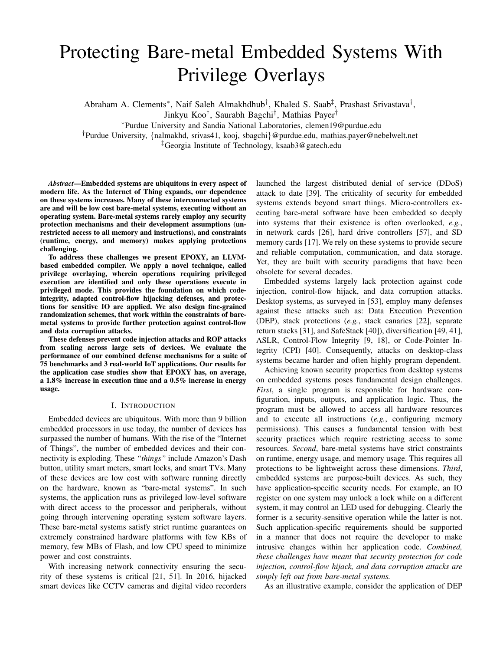# Protecting Bare-metal Embedded Systems With Privilege Overlays

Abraham A. Clements<sup>\*</sup>, Naif Saleh Almakhdhub<sup>†</sup>, Khaled S. Saab<sup>‡</sup>, Prashast Srivastava<sup>†</sup>,

Jinkyu Koo† , Saurabh Bagchi† , Mathias Payer†

<sup>∗</sup>Purdue University and Sandia National Laboratories, clemen19@purdue.edu

†Purdue University, {nalmakhd, srivas41, kooj, sbagchi}@purdue.edu, mathias.payer@nebelwelt.net

‡Georgia Institute of Technology, ksaab3@gatech.edu

*Abstract*—Embedded systems are ubiquitous in every aspect of modern life. As the Internet of Thing expands, our dependence on these systems increases. Many of these interconnected systems are and will be low cost bare-metal systems, executing without an operating system. Bare-metal systems rarely employ any security protection mechanisms and their development assumptions (unrestricted access to all memory and instructions), and constraints (runtime, energy, and memory) makes applying protections challenging.

To address these challenges we present EPOXY, an LLVMbased embedded compiler. We apply a novel technique, called privilege overlaying, wherein operations requiring privileged execution are identified and only these operations execute in privileged mode. This provides the foundation on which codeintegrity, adapted control-flow hijacking defenses, and protections for sensitive IO are applied. We also design fine-grained randomization schemes, that work within the constraints of baremetal systems to provide further protection against control-flow and data corruption attacks.

These defenses prevent code injection attacks and ROP attacks from scaling across large sets of devices. We evaluate the performance of our combined defense mechanisms for a suite of 75 benchmarks and 3 real-world IoT applications. Our results for the application case studies show that EPOXY has, on average, a 1.8% increase in execution time and a 0.5% increase in energy usage.

## I. INTRODUCTION

Embedded devices are ubiquitous. With more than 9 billion embedded processors in use today, the number of devices has surpassed the number of humans. With the rise of the "Internet of Things", the number of embedded devices and their connectivity is exploding. These *"things"* include Amazon's Dash button, utility smart meters, smart locks, and smart TVs. Many of these devices are low cost with software running directly on the hardware, known as "bare-metal systems". In such systems, the application runs as privileged low-level software with direct access to the processor and peripherals, without going through intervening operating system software layers. These bare-metal systems satisfy strict runtime guarantees on extremely constrained hardware platforms with few KBs of memory, few MBs of Flash, and low CPU speed to minimize power and cost constraints.

With increasing network connectivity ensuring the security of these systems is critical [21, 51]. In 2016, hijacked smart devices like CCTV cameras and digital video recorders launched the largest distributed denial of service (DDoS) attack to date [39]. The criticality of security for embedded systems extends beyond smart things. Micro-controllers executing bare-metal software have been embedded so deeply into systems that their existence is often overlooked, *e.g.*, in network cards [26], hard drive controllers [57], and SD memory cards [17]. We rely on these systems to provide secure and reliable computation, communication, and data storage. Yet, they are built with security paradigms that have been obsolete for several decades.

Embedded systems largely lack protection against code injection, control-flow hijack, and data corruption attacks. Desktop systems, as surveyed in [53], employ many defenses against these attacks such as: Data Execution Prevention (DEP), stack protections (*e.g.*, stack canaries [22], separate return stacks [31], and SafeStack [40]), diversification [49, 41], ASLR, Control-Flow Integrity [9, 18], or Code-Pointer Integrity (CPI) [40]. Consequently, attacks on desktop-class systems became harder and often highly program dependent.

Achieving known security properties from desktop systems on embedded systems poses fundamental design challenges. *First*, a single program is responsible for hardware configuration, inputs, outputs, and application logic. Thus, the program must be allowed to access all hardware resources and to execute all instructions (*e.g.*, configuring memory permissions). This causes a fundamental tension with best security practices which require restricting access to some resources. *Second*, bare-metal systems have strict constraints on runtime, energy usage, and memory usage. This requires all protections to be lightweight across these dimensions. *Third*, embedded systems are purpose-built devices. As such, they have application-specific security needs. For example, an IO register on one system may unlock a lock while on a different system, it may control an LED used for debugging. Clearly the former is a security-sensitive operation while the latter is not. Such application-specific requirements should be supported in a manner that does not require the developer to make intrusive changes within her application code. *Combined, these challenges have meant that security protection for code injection, control-flow hijack, and data corruption attacks are simply left out from bare-metal systems.*

As an illustrative example, consider the application of DEP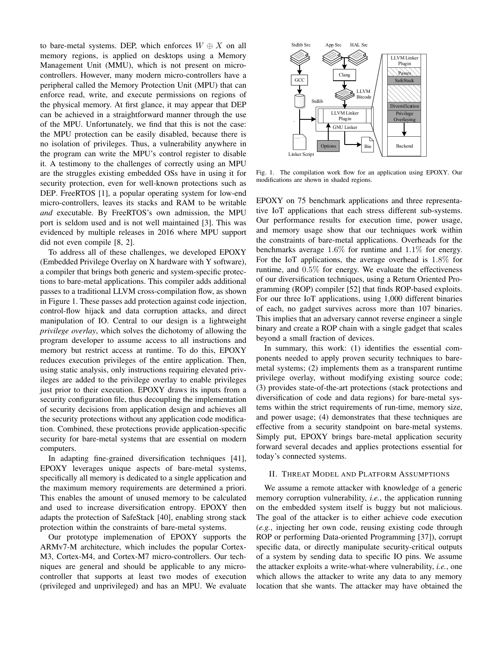to bare-metal systems. DEP, which enforces  $W \oplus X$  on all memory regions, is applied on desktops using a Memory Management Unit (MMU), which is not present on microcontrollers. However, many modern micro-controllers have a peripheral called the Memory Protection Unit (MPU) that can enforce read, write, and execute permissions on regions of the physical memory. At first glance, it may appear that DEP can be achieved in a straightforward manner through the use of the MPU. Unfortunately, we find that this is not the case: the MPU protection can be easily disabled, because there is no isolation of privileges. Thus, a vulnerability anywhere in the program can write the MPU's control register to disable it. A testimony to the challenges of correctly using an MPU are the struggles existing embedded OSs have in using it for security protection, even for well-known protections such as DEP. FreeRTOS [1], a popular operating system for low-end micro-controllers, leaves its stacks and RAM to be writable *and* executable. By FreeRTOS's own admission, the MPU port is seldom used and is not well maintained [3]. This was evidenced by multiple releases in 2016 where MPU support did not even compile [8, 2].

To address all of these challenges, we developed EPOXY (Embedded Privilege Overlay on X hardware with Y software), a compiler that brings both generic and system-specific protections to bare-metal applications. This compiler adds additional passes to a traditional LLVM cross-compilation flow, as shown in Figure 1. These passes add protection against code injection, control-flow hijack and data corruption attacks, and direct manipulation of IO. Central to our design is a lightweight *privilege overlay*, which solves the dichotomy of allowing the program developer to assume access to all instructions and memory but restrict access at runtime. To do this, EPOXY reduces execution privileges of the entire application. Then, using static analysis, only instructions requiring elevated privileges are added to the privilege overlay to enable privileges just prior to their execution. EPOXY draws its inputs from a security configuration file, thus decoupling the implementation of security decisions from application design and achieves all the security protections without any application code modification. Combined, these protections provide application-specific security for bare-metal systems that are essential on modern computers.

In adapting fine-grained diversification techniques [41], EPOXY leverages unique aspects of bare-metal systems, specifically all memory is dedicated to a single application and the maximum memory requirements are determined a priori. This enables the amount of unused memory to be calculated and used to increase diversification entropy. EPOXY then adapts the protection of SafeStack [40], enabling strong stack protection within the constraints of bare-metal systems.

Our prototype implemenation of EPOXY supports the ARMv7-M architecture, which includes the popular Cortex-M3, Cortex-M4, and Cortex-M7 micro-controllers. Our techniques are general and should be applicable to any microcontroller that supports at least two modes of execution (privileged and unprivileged) and has an MPU. We evaluate



Fig. 1. The compilation work flow for an application using EPOXY. Our modifications are shown in shaded regions.

EPOXY on 75 benchmark applications and three representative IoT applications that each stress different sub-systems. Our performance results for execution time, power usage, and memory usage show that our techniques work within the constraints of bare-metal applications. Overheads for the benchmarks average 1.6% for runtime and 1.1% for energy. For the IoT applications, the average overhead is 1.8% for runtime, and 0.5% for energy. We evaluate the effectiveness of our diversification techniques, using a Return Oriented Programming (ROP) compiler [52] that finds ROP-based exploits. For our three IoT applications, using 1,000 different binaries of each, no gadget survives across more than 107 binaries. This implies that an adversary cannot reverse engineer a single binary and create a ROP chain with a single gadget that scales beyond a small fraction of devices.

In summary, this work: (1) identifies the essential components needed to apply proven security techniques to baremetal systems; (2) implements them as a transparent runtime privilege overlay, without modifying existing source code; (3) provides state-of-the-art protections (stack protections and diversification of code and data regions) for bare-metal systems within the strict requirements of run-time, memory size, and power usage; (4) demonstrates that these techniques are effective from a security standpoint on bare-metal systems. Simply put, EPOXY brings bare-metal application security forward several decades and applies protections essential for today's connected systems.

## II. THREAT MODEL AND PLATFORM ASSUMPTIONS

We assume a remote attacker with knowledge of a generic memory corruption vulnerability, *i.e.*, the application running on the embedded system itself is buggy but not malicious. The goal of the attacker is to either achieve code execution (*e.g.*, injecting her own code, reusing existing code through ROP or performing Data-oriented Programming [37]), corrupt specific data, or directly manipulate security-critical outputs of a system by sending data to specific IO pins. We assume the attacker exploits a write-what-where vulnerability, *i.e.*, one which allows the attacker to write any data to any memory location that she wants. The attacker may have obtained the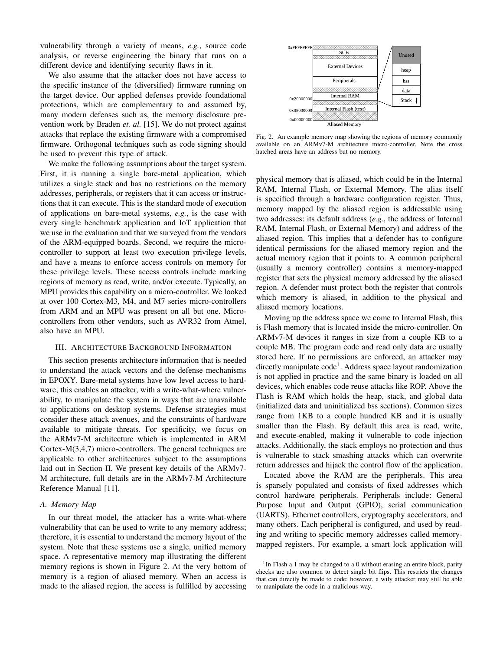vulnerability through a variety of means, *e.g.*, source code analysis, or reverse engineering the binary that runs on a different device and identifying security flaws in it.

We also assume that the attacker does not have access to the specific instance of the (diversified) firmware running on the target device. Our applied defenses provide foundational protections, which are complementary to and assumed by, many modern defenses such as, the memory disclosure prevention work by Braden *et. al.* [15]. We do not protect against attacks that replace the existing firmware with a compromised firmware. Orthogonal techniques such as code signing should be used to prevent this type of attack.

We make the following assumptions about the target system. First, it is running a single bare-metal application, which utilizes a single stack and has no restrictions on the memory addresses, peripherals, or registers that it can access or instructions that it can execute. This is the standard mode of execution of applications on bare-metal systems, *e.g.*, is the case with every single benchmark application and IoT application that we use in the evaluation and that we surveyed from the vendors of the ARM-equipped boards. Second, we require the microcontroller to support at least two execution privilege levels, and have a means to enforce access controls on memory for these privilege levels. These access controls include marking regions of memory as read, write, and/or execute. Typically, an MPU provides this capability on a micro-controller. We looked at over 100 Cortex-M3, M4, and M7 series micro-controllers from ARM and an MPU was present on all but one. Microcontrollers from other vendors, such as AVR32 from Atmel, also have an MPU.

## III. ARCHITECTURE BACKGROUND INFORMATION

This section presents architecture information that is needed to understand the attack vectors and the defense mechanisms in EPOXY. Bare-metal systems have low level access to hardware; this enables an attacker, with a write-what-where vulnerability, to manipulate the system in ways that are unavailable to applications on desktop systems. Defense strategies must consider these attack avenues, and the constraints of hardware available to mitigate threats. For specificity, we focus on the ARMv7-M architecture which is implemented in ARM Cortex-M(3,4,7) micro-controllers. The general techniques are applicable to other architectures subject to the assumptions laid out in Section II. We present key details of the ARMv7- M architecture, full details are in the ARMv7-M Architecture Reference Manual [11].

#### *A. Memory Map*

In our threat model, the attacker has a write-what-where vulnerability that can be used to write to any memory address; therefore, it is essential to understand the memory layout of the system. Note that these systems use a single, unified memory space. A representative memory map illustrating the different memory regions is shown in Figure 2. At the very bottom of memory is a region of aliased memory. When an access is made to the aliased region, the access is fulfilled by accessing



Fig. 2. An example memory map showing the regions of memory commonly available on an ARMv7-M architecture micro-controller. Note the cross hatched areas have an address but no memory.

physical memory that is aliased, which could be in the Internal RAM, Internal Flash, or External Memory. The alias itself is specified through a hardware configuration register. Thus, memory mapped by the aliased region is addressable using two addresses: its default address (*e.g.*, the address of Internal RAM, Internal Flash, or External Memory) and address of the aliased region. This implies that a defender has to configure identical permissions for the aliased memory region and the actual memory region that it points to. A common peripheral (usually a memory controller) contains a memory-mapped register that sets the physical memory addressed by the aliased region. A defender must protect both the register that controls which memory is aliased, in addition to the physical and aliased memory locations.

Moving up the address space we come to Internal Flash, this is Flash memory that is located inside the micro-controller. On ARMv7-M devices it ranges in size from a couple KB to a couple MB. The program code and read only data are usually stored here. If no permissions are enforced, an attacker may directly manipulate code<sup>1</sup>. Address space layout randomization is not applied in practice and the same binary is loaded on all devices, which enables code reuse attacks like ROP. Above the Flash is RAM which holds the heap, stack, and global data (initialized data and uninitialized bss sections). Common sizes range from 1KB to a couple hundred KB and it is usually smaller than the Flash. By default this area is read, write, and execute-enabled, making it vulnerable to code injection attacks. Additionally, the stack employs no protection and thus is vulnerable to stack smashing attacks which can overwrite return addresses and hijack the control flow of the application.

Located above the RAM are the peripherals. This area is sparsely populated and consists of fixed addresses which control hardware peripherals. Peripherals include: General Purpose Input and Output (GPIO), serial communication (UARTS), Ethernet controllers, cryptography accelerators, and many others. Each peripheral is configured, and used by reading and writing to specific memory addresses called memorymapped registers. For example, a smart lock application will

<sup>&</sup>lt;sup>1</sup>In Flash a 1 may be changed to a 0 without erasing an entire block, parity checks are also common to detect single bit flips. This restricts the changes that can directly be made to code; however, a wily attacker may still be able to manipulate the code in a malicious way.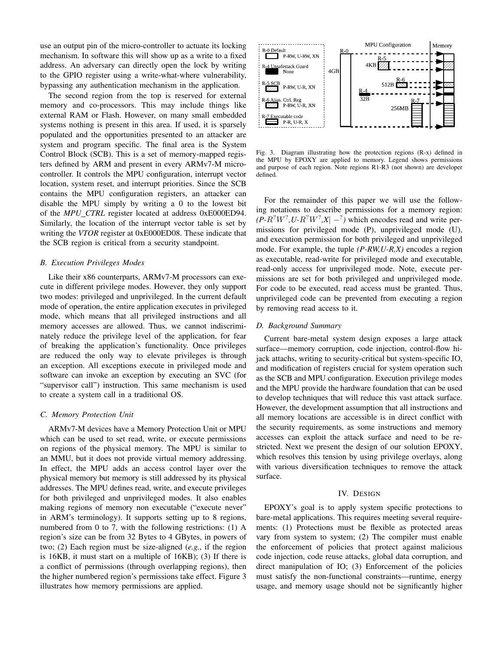use an output pin of the micro-controller to actuate its locking mechanism. In software this will show up as a write to a fixed address. An adversary can directly open the lock by writing to the GPIO register using a write-what-where vulnerability, bypassing any authentication mechanism in the application.

The second region from the top is reserved for external memory and co-processors. This may include things like external RAM or Flash. However, on many small embedded systems nothing is present in this area. If used, it is sparsely populated and the opportunities presented to an attacker are system and program specific. The final area is the System Control Block (SCB). This is a set of memory-mapped registers defined by ARM and present in every ARMv7-M microcontroller. It controls the MPU configuration, interrupt vector location, system reset, and interrupt priorities. Since the SCB contains the MPU configuration registers, an attacker can disable the MPU simply by writing a 0 to the lowest bit of the *MPU CTRL* register located at address 0xE000ED94. Similarly, the location of the interrupt vector table is set by writing the *VTOR* register at 0xE000ED08. These indicate that the SCB region is critical from a security standpoint.

# *B. Execution Privileges Modes*

Like their x86 counterparts, ARMv7-M processors can execute in different privilege modes. However, they only support two modes: privileged and unprivileged. In the current default mode of operation, the entire application executes in privileged mode, which means that all privileged instructions and all memory accesses are allowed. Thus, we cannot indiscriminately reduce the privilege level of the application, for fear of breaking the application's functionality. Once privileges are reduced the only way to elevate privileges is through an exception. All exceptions execute in privileged mode and software can invoke an exception by executing an SVC (for "supervisor call") instruction. This same mechanism is used to create a system call in a traditional OS.

## *C. Memory Protection Unit*

ARMv7-M devices have a Memory Protection Unit or MPU which can be used to set read, write, or execute permissions on regions of the physical memory. The MPU is similar to an MMU, but it does not provide virtual memory addressing. In effect, the MPU adds an access control layer over the physical memory but memory is still addressed by its physical addresses. The MPU defines read, write, and execute privileges for both privileged and unprivileged modes. It also enables making regions of memory non executable ("execute never" in ARM's terminology). It supports setting up to 8 regions, numbered from 0 to 7, with the following restrictions: (1) A region's size can be from 32 Bytes to 4 GBytes, in powers of two; (2) Each region must be size-aligned (*e.g.*, if the region is 16KB, it must start on a multiple of 16KB); (3) If there is a conflict of permissions (through overlapping regions), then the higher numbered region's permissions take effect. Figure 3 illustrates how memory permissions are applied.



Fig. 3. Diagram illustrating how the protection regions (R-x) defined in the MPU by EPOXY are applied to memory. Legend shows permissions and purpose of each region. Note regions R1-R3 (not shown) are developer defined.

For the remainder of this paper we will use the following notations to describe permissions for a memory region:  $(P-R^2W^2, U-R^2W^2, X| -^2)$  which encodes read and write permissions for privileged mode (P), unprivileged mode (U), and execution permission for both privileged and unprivileged mode. For example, the tuple *(P-RW,U-R,X)* encodes a region as executable, read-write for privileged mode and executable, read-only access for unprivileged mode. Note, execute permissions are set for both privileged and unprivileged mode. For code to be executed, read access must be granted. Thus, unprivileged code can be prevented from executing a region by removing read access to it.

# *D. Background Summary*

Current bare-metal system design exposes a large attack surface—memory corruption, code injection, control-flow hijack attachs, writing to security-critical but system-specific IO, and modification of registers crucial for system operation such as the SCB and MPU configuration. Execution privilege modes and the MPU provide the hardware foundation that can be used to develop techniques that will reduce this vast attack surface. However, the development assumption that all instructions and all memory locations are accessible is in direct conflict with the security requirements, as some instructions and memory accesses can exploit the attack surface and need to be restricted. Next we present the design of our solution EPOXY, which resolves this tension by using privilege overlays, along with various diversification techniques to remove the attack surface.

## IV. DESIGN

EPOXY's goal is to apply system specific protections to bare-metal applications. This requires meeting several requirements: (1) Protections must be flexible as protected areas vary from system to system; (2) The compiler must enable the enforcement of policies that protect against malicious code injection, code reuse attacks, global data corruption, and direct manipulation of IO; (3) Enforcement of the policies must satisfy the non-functional constraints—runtime, energy usage, and memory usage should not be significantly higher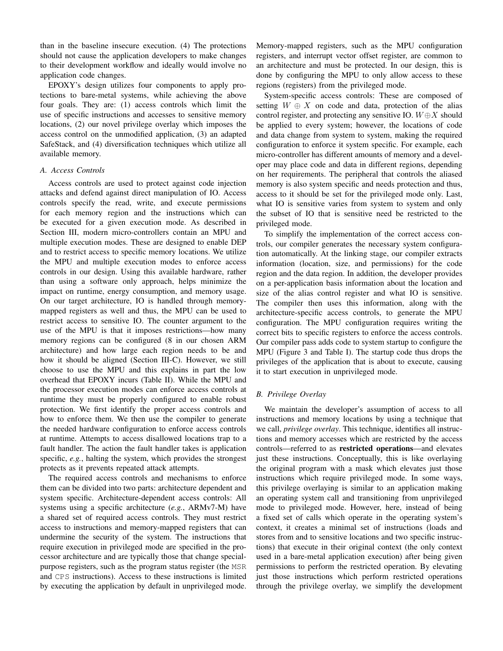than in the baseline insecure execution. (4) The protections should not cause the application developers to make changes to their development workflow and ideally would involve no application code changes.

EPOXY's design utilizes four components to apply protections to bare-metal systems, while achieving the above four goals. They are: (1) access controls which limit the use of specific instructions and accesses to sensitive memory locations, (2) our novel privilege overlay which imposes the access control on the unmodified application, (3) an adapted SafeStack, and (4) diversification techniques which utilize all available memory.

# *A. Access Controls*

Access controls are used to protect against code injection attacks and defend against direct manipulation of IO. Access controls specify the read, write, and execute permissions for each memory region and the instructions which can be executed for a given execution mode. As described in Section III, modern micro-controllers contain an MPU and multiple execution modes. These are designed to enable DEP and to restrict access to specific memory locations. We utilize the MPU and multiple execution modes to enforce access controls in our design. Using this available hardware, rather than using a software only approach, helps minimize the impact on runtime, energy consumption, and memory usage. On our target architecture, IO is handled through memorymapped registers as well and thus, the MPU can be used to restrict access to sensitive IO. The counter argument to the use of the MPU is that it imposes restrictions—how many memory regions can be configured (8 in our chosen ARM architecture) and how large each region needs to be and how it should be aligned (Section III-C). However, we still choose to use the MPU and this explains in part the low overhead that EPOXY incurs (Table II). While the MPU and the processor execution modes can enforce access controls at runtime they must be properly configured to enable robust protection. We first identify the proper access controls and how to enforce them. We then use the compiler to generate the needed hardware configuration to enforce access controls at runtime. Attempts to access disallowed locations trap to a fault handler. The action the fault handler takes is application specific, *e.g.*, halting the system, which provides the strongest protects as it prevents repeated attack attempts.

The required access controls and mechanisms to enforce them can be divided into two parts: architecture dependent and system specific. Architecture-dependent access controls: All systems using a specific architecture (*e.g.*, ARMv7-M) have a shared set of required access controls. They must restrict access to instructions and memory-mapped registers that can undermine the security of the system. The instructions that require execution in privileged mode are specified in the processor architecture and are typically those that change specialpurpose registers, such as the program status register (the MSR and CPS instructions). Access to these instructions is limited by executing the application by default in unprivileged mode. Memory-mapped registers, such as the MPU configuration registers, and interrupt vector offset register, are common to an architecture and must be protected. In our design, this is done by configuring the MPU to only allow access to these regions (registers) from the privileged mode.

System-specific access controls: These are composed of setting  $W \oplus X$  on code and data, protection of the alias control register, and protecting any sensitive IO.  $W \oplus X$  should be applied to every system; however, the locations of code and data change from system to system, making the required configuration to enforce it system specific. For example, each micro-controller has different amounts of memory and a developer may place code and data in different regions, depending on her requirements. The peripheral that controls the aliased memory is also system specific and needs protection and thus, access to it should be set for the privileged mode only. Last, what IO is sensitive varies from system to system and only the subset of IO that is sensitive need be restricted to the privileged mode.

To simplify the implementation of the correct access controls, our compiler generates the necessary system configuration automatically. At the linking stage, our compiler extracts information (location, size, and permissions) for the code region and the data region. In addition, the developer provides on a per-application basis information about the location and size of the alias control register and what IO is sensitive. The compiler then uses this information, along with the architecture-specific access controls, to generate the MPU configuration. The MPU configuration requires writing the correct bits to specific registers to enforce the access controls. Our compiler pass adds code to system startup to configure the MPU (Figure 3 and Table I). The startup code thus drops the privileges of the application that is about to execute, causing it to start execution in unprivileged mode.

## *B. Privilege Overlay*

We maintain the developer's assumption of access to all instructions and memory locations by using a technique that we call, *privilege overlay*. This technique, identifies all instructions and memory accesses which are restricted by the access controls—referred to as restricted operations—and elevates just these instructions. Conceptually, this is like overlaying the original program with a mask which elevates just those instructions which require privileged mode. In some ways, this privilege overlaying is similar to an application making an operating system call and transitioning from unprivileged mode to privileged mode. However, here, instead of being a fixed set of calls which operate in the operating system's context, it creates a minimal set of instructions (loads and stores from and to sensitive locations and two specific instructions) that execute in their original context (the only context used in a bare-metal application execution) after being given permissions to perform the restricted operation. By elevating just those instructions which perform restricted operations through the privilege overlay, we simplify the development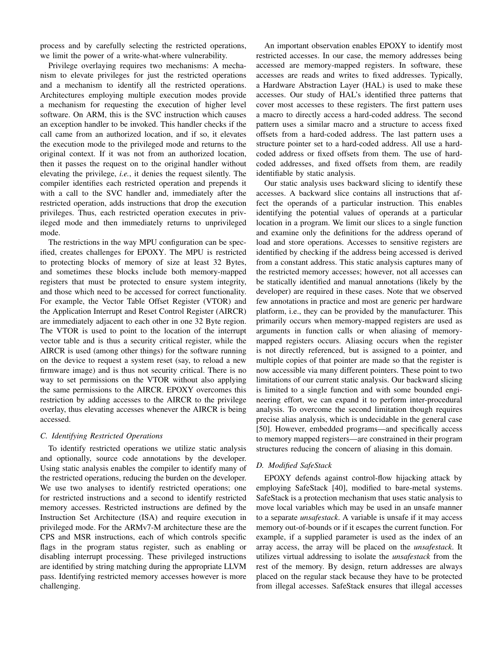process and by carefully selecting the restricted operations, we limit the power of a write-what-where vulnerability.

Privilege overlaying requires two mechanisms: A mechanism to elevate privileges for just the restricted operations and a mechanism to identify all the restricted operations. Architectures employing multiple execution modes provide a mechanism for requesting the execution of higher level software. On ARM, this is the SVC instruction which causes an exception handler to be invoked. This handler checks if the call came from an authorized location, and if so, it elevates the execution mode to the privileged mode and returns to the original context. If it was not from an authorized location, then it passes the request on to the original handler without elevating the privilege, *i.e.*, it denies the request silently. The compiler identifies each restricted operation and prepends it with a call to the SVC handler and, immediately after the restricted operation, adds instructions that drop the execution privileges. Thus, each restricted operation executes in privileged mode and then immediately returns to unprivileged mode.

The restrictions in the way MPU configuration can be specified, creates challenges for EPOXY. The MPU is restricted to protecting blocks of memory of size at least 32 Bytes, and sometimes these blocks include both memory-mapped registers that must be protected to ensure system integrity, and those which need to be accessed for correct functionality. For example, the Vector Table Offset Register (VTOR) and the Application Interrupt and Reset Control Register (AIRCR) are immediately adjacent to each other in one 32 Byte region. The VTOR is used to point to the location of the interrupt vector table and is thus a security critical register, while the AIRCR is used (among other things) for the software running on the device to request a system reset (say, to reload a new firmware image) and is thus not security critical. There is no way to set permissions on the VTOR without also applying the same permissions to the AIRCR. EPOXY overcomes this restriction by adding accesses to the AIRCR to the privilege overlay, thus elevating accesses whenever the AIRCR is being accessed.

## *C. Identifying Restricted Operations*

To identify restricted operations we utilize static analysis and optionally, source code annotations by the developer. Using static analysis enables the compiler to identify many of the restricted operations, reducing the burden on the developer. We use two analyses to identify restricted operations; one for restricted instructions and a second to identify restricted memory accesses. Restricted instructions are defined by the Instruction Set Architecture (ISA) and require execution in privileged mode. For the ARMv7-M architecture these are the CPS and MSR instructions, each of which controls specific flags in the program status register, such as enabling or disabling interrupt processing. These privileged instructions are identified by string matching during the appropriate LLVM pass. Identifying restricted memory accesses however is more challenging.

An important observation enables EPOXY to identify most restricted accesses. In our case, the memory addresses being accessed are memory-mapped registers. In software, these accesses are reads and writes to fixed addresses. Typically, a Hardware Abstraction Layer (HAL) is used to make these accesses. Our study of HAL's identified three patterns that cover most accesses to these registers. The first pattern uses a macro to directly access a hard-coded address. The second pattern uses a similar macro and a structure to access fixed offsets from a hard-coded address. The last pattern uses a structure pointer set to a hard-coded address. All use a hardcoded address or fixed offsets from them. The use of hardcoded addresses, and fixed offsets from them, are readily identifiable by static analysis.

Our static analysis uses backward slicing to identify these accesses. A backward slice contains all instructions that affect the operands of a particular instruction. This enables identifying the potential values of operands at a particular location in a program. We limit our slices to a single function and examine only the definitions for the address operand of load and store operations. Accesses to sensitive registers are identified by checking if the address being accessed is derived from a constant address. This static analysis captures many of the restricted memory accesses; however, not all accesses can be statically identified and manual annotations (likely by the developer) are required in these cases. Note that we observed few annotations in practice and most are generic per hardware platform, i.e., they can be provided by the manufacturer. This primarily occurs when memory-mapped registers are used as arguments in function calls or when aliasing of memorymapped registers occurs. Aliasing occurs when the register is not directly referenced, but is assigned to a pointer, and multiple copies of that pointer are made so that the register is now accessible via many different pointers. These point to two limitations of our current static analysis. Our backward slicing is limited to a single function and with some bounded engineering effort, we can expand it to perform inter-procedural analysis. To overcome the second limitation though requires precise alias analysis, which is undecidable in the general case [50]. However, embedded programs—and specifically access to memory mapped registers—are constrained in their program structures reducing the concern of aliasing in this domain.

## *D. Modified SafeStack*

EPOXY defends against control-flow hijacking attack by employing SafeStack [40], modified to bare-metal systems. SafeStack is a protection mechanism that uses static analysis to move local variables which may be used in an unsafe manner to a separate *unsafestack*. A variable is unsafe if it may access memory out-of-bounds or if it escapes the current function. For example, if a supplied parameter is used as the index of an array access, the array will be placed on the *unsafestack*. It utilizes virtual addressing to isolate the *unsafestack* from the rest of the memory. By design, return addresses are always placed on the regular stack because they have to be protected from illegal accesses. SafeStack ensures that illegal accesses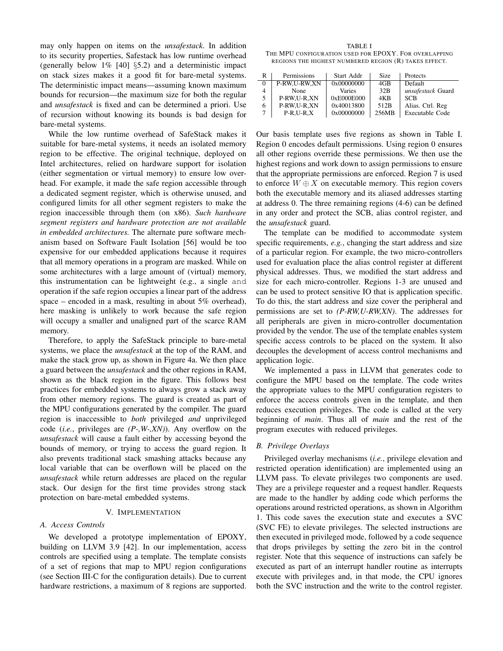may only happen on items on the *unsafestack*. In addition to its security properties, Safestack has low runtime overhead (generally below  $1\%$  [40] §5.2) and a deterministic impact on stack sizes makes it a good fit for bare-metal systems. The deterministic impact means—assuming known maximum bounds for recursion—the maximum size for both the regular and *unsafestack* is fixed and can be determined a priori. Use of recursion without knowing its bounds is bad design for bare-metal systems.

While the low runtime overhead of SafeStack makes it suitable for bare-metal systems, it needs an isolated memory region to be effective. The original technique, deployed on Intel architectures, relied on hardware support for isolation (either segmentation or virtual memory) to ensure low overhead. For example, it made the safe region accessible through a dedicated segment register, which is otherwise unused, and configured limits for all other segment registers to make the region inaccessible through them (on x86). *Such hardware segment registers and hardware protection are not available in embedded architectures.* The alternate pure software mechanism based on Software Fault Isolation [56] would be too expensive for our embedded applications because it requires that all memory operations in a program are masked. While on some architectures with a large amount of (virtual) memory, this instrumentation can be lightweight (e.g., a single and operation if the safe region occupies a linear part of the address space – encoded in a mask, resulting in about 5% overhead), here masking is unlikely to work because the safe region will occupy a smaller and unaligned part of the scarce RAM memory.

Therefore, to apply the SafeStack principle to bare-metal systems, we place the *unsafestack* at the top of the RAM, and make the stack grow up, as shown in Figure 4a. We then place a guard between the *unsafestack* and the other regions in RAM, shown as the black region in the figure. This follows best practices for embedded systems to always grow a stack away from other memory regions. The guard is created as part of the MPU configurations generated by the compiler. The guard region is inaccessible to *both* privileged *and* unprivileged code (*i.e.*, privileges are *(P-,W-,XN)*). Any overflow on the *unsafestack* will cause a fault either by accessing beyond the bounds of memory, or trying to access the guard region. It also prevents traditional stack smashing attacks because any local variable that can be overflown will be placed on the *unsafestack* while return addresses are placed on the regular stack. Our design for the first time provides strong stack protection on bare-metal embedded systems.

## V. IMPLEMENTATION

## *A. Access Controls*

We developed a prototype implementation of EPOXY, building on LLVM 3.9 [42]. In our implementation, access controls are specified using a template. The template consists of a set of regions that map to MPU region configurations (see Section III-C for the configuration details). Due to current hardware restrictions, a maximum of 8 regions are supported.

TABLE I THE MPU CONFIGURATION USED FOR EPOXY. FOR OVERLAPPING REGIONS THE HIGHEST NUMBERED REGION (R) TAKES EFFECT.

| R | Permissions  | Start Addr | Size  | Protects               |
|---|--------------|------------|-------|------------------------|
| 0 | P-RW.U-RW.XN | 0x00000000 | 4GB   | Default                |
| 4 | None         | Varies     | 32B   | unsafestack Guard      |
| 5 | P-RW.U-R.XN  | 0xE000E000 | 4KB   | <b>SCB</b>             |
| 6 | P-RW.U-R.XN  | 0x40013800 | 512B  | Alias. Ctrl. Reg.      |
|   | $P-R.U-R.X$  | 0x00000000 | 256MB | <b>Executable Code</b> |

Our basis template uses five regions as shown in Table I. Region 0 encodes default permissions. Using region 0 ensures all other regions override these permissions. We then use the highest regions and work down to assign permissions to ensure that the appropriate permissions are enforced. Region 7 is used to enforce  $W \oplus X$  on executable memory. This region covers both the executable memory and its aliased addresses starting at address 0. The three remaining regions (4-6) can be defined in any order and protect the SCB, alias control register, and the *unsafestack* guard.

The template can be modified to accommodate system specific requirements, *e.g.*, changing the start address and size of a particular region. For example, the two micro-controllers used for evaluation place the alias control register at different physical addresses. Thus, we modified the start address and size for each micro-controller. Regions 1-3 are unused and can be used to protect sensitive IO that is application specific. To do this, the start address and size cover the peripheral and permissions are set to *(P-RW,U-RW,XN)*. The addresses for all peripherals are given in micro-controller documentation provided by the vendor. The use of the template enables system specific access controls to be placed on the system. It also decouples the development of access control mechanisms and application logic.

We implemented a pass in LLVM that generates code to configure the MPU based on the template. The code writes the appropriate values to the MPU configuration registers to enforce the access controls given in the template, and then reduces execution privileges. The code is called at the very beginning of *main*. Thus all of *main* and the rest of the program executes with reduced privileges.

#### *B. Privilege Overlays*

Privileged overlay mechanisms (*i.e.*, privilege elevation and restricted operation identification) are implemented using an LLVM pass. To elevate privileges two components are used. They are a privilege requester and a request handler. Requests are made to the handler by adding code which performs the operations around restricted operations, as shown in Algorithm 1. This code saves the execution state and executes a SVC (SVC FE) to elevate privileges. The selected instructions are then executed in privileged mode, followed by a code sequence that drops privileges by setting the zero bit in the control register. Note that this sequence of instructions can safely be executed as part of an interrupt handler routine as interrupts execute with privileges and, in that mode, the CPU ignores both the SVC instruction and the write to the control register.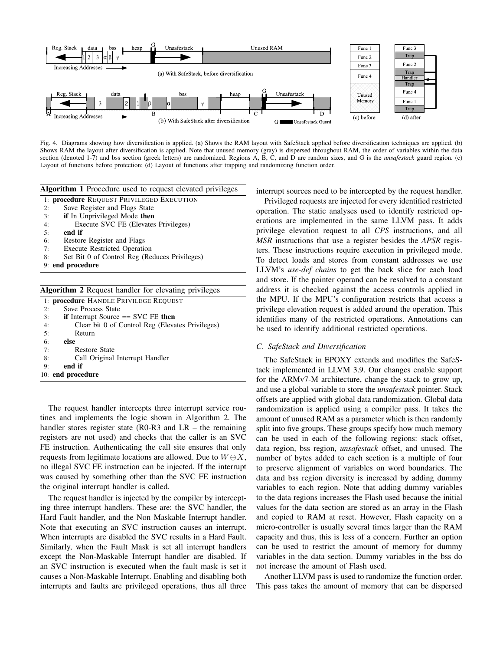

Fig. 4. Diagrams showing how diversification is applied. (a) Shows the RAM layout with SafeStack applied before diversification techniques are applied. (b) Shows RAM the layout after diversification is applied. Note that unused memory (gray) is dispersed throughout RAM, the order of variables within the data section (denoted 1-7) and bss section (greek letters) are randomized. Regions A, B, C, and D are random sizes, and G is the *unsafestack* guard region. (c) Layout of functions before protection; (d) Layout of functions after trapping and randomizing function order.

Algorithm 1 Procedure used to request elevated privileges

1: procedure REQUEST PRIVILEGED EXECUTION

- 2: Save Register and Flags State
- 3: if In Unprivileged Mode then
- 4: Execute SVC FE (Elevates Privileges)
- 5: end if
- 6: Restore Register and Flags
- 7: Execute Restricted Operation
- 8: Set Bit 0 of Control Reg (Reduces Privileges)
- 9: end procedure

|    | <b>Algorithm 2</b> Request handler for elevating privileges |
|----|-------------------------------------------------------------|
|    | 1: <b>procedure</b> HANDLE PRIVILEGE REQUEST                |
| 2: | <b>Save Process State</b>                                   |
| 3: | if Interrupt Source $=$ SVC FE then                         |
| 4: | Clear bit 0 of Control Reg (Elevates Privileges)            |
| 5: | Return                                                      |
| 6: | else                                                        |
| 7: | Restore State                                               |
| 8: | Call Original Interrupt Handler                             |
| 9: | end if                                                      |
|    | 10: end procedure                                           |

The request handler intercepts three interrupt service routines and implements the logic shown in Algorithm 2. The handler stores register state (R0-R3 and LR – the remaining registers are not used) and checks that the caller is an SVC FE instruction. Authenticating the call site ensures that only requests from legitimate locations are allowed. Due to  $W \oplus X$ , no illegal SVC FE instruction can be injected. If the interrupt was caused by something other than the SVC FE instruction the original interrupt handler is called.

The request handler is injected by the compiler by intercepting three interrupt handlers. These are: the SVC handler, the Hard Fault handler, and the Non Maskable Interrupt handler. Note that executing an SVC instruction causes an interrupt. When interrupts are disabled the SVC results in a Hard Fault. Similarly, when the Fault Mask is set all interrupt handlers except the Non-Maskable Interrupt handler are disabled. If an SVC instruction is executed when the fault mask is set it causes a Non-Maskable Interrupt. Enabling and disabling both interrupts and faults are privileged operations, thus all three

interrupt sources need to be intercepted by the request handler.

Privileged requests are injected for every identified restricted operation. The static analyses used to identify restricted operations are implemented in the same LLVM pass. It adds privilege elevation request to all *CPS* instructions, and all *MSR* instructions that use a register besides the *APSR* registers. These instructions require execution in privileged mode. To detect loads and stores from constant addresses we use LLVM's *use-def chains* to get the back slice for each load and store. If the pointer operand can be resolved to a constant address it is checked against the access controls applied in the MPU. If the MPU's configuration restricts that access a privilege elevation request is added around the operation. This identifies many of the restricted operations. Annotations can be used to identify additional restricted operations.

#### *C. SafeStack and Diversification*

The SafeStack in EPOXY extends and modifies the SafeStack implemented in LLVM 3.9. Our changes enable support for the ARMv7-M architecture, change the stack to grow up, and use a global variable to store the *unsafestack* pointer. Stack offsets are applied with global data randomization. Global data randomization is applied using a compiler pass. It takes the amount of unused RAM as a parameter which is then randomly split into five groups. These groups specify how much memory can be used in each of the following regions: stack offset, data region, bss region, *unsafestack* offset, and unused. The number of bytes added to each section is a multiple of four to preserve alignment of variables on word boundaries. The data and bss region diversity is increased by adding dummy variables to each region. Note that adding dummy variables to the data regions increases the Flash used because the initial values for the data section are stored as an array in the Flash and copied to RAM at reset. However, Flash capacity on a micro-controller is usually several times larger than the RAM capacity and thus, this is less of a concern. Further an option can be used to restrict the amount of memory for dummy variables in the data section. Dummy variables in the bss do not increase the amount of Flash used.

Another LLVM pass is used to randomize the function order. This pass takes the amount of memory that can be dispersed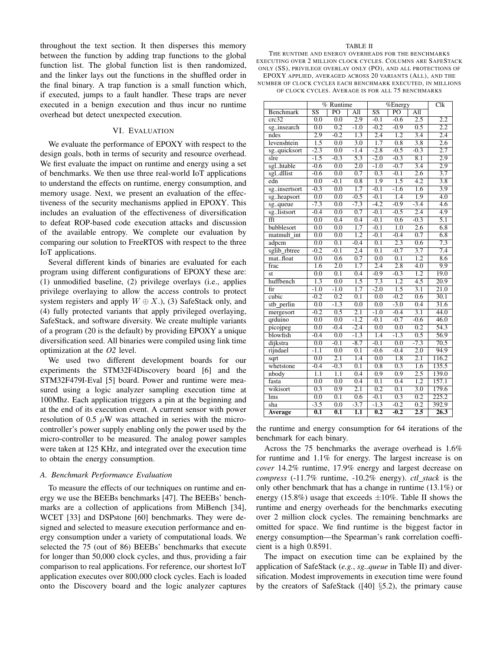throughout the text section. It then disperses this memory between the function by adding trap functions to the global function list. The global function list is then randomized, and the linker lays out the functions in the shuffled order in the final binary. A trap function is a small function which, if executed, jumps to a fault handler. These traps are never executed in a benign execution and thus incur no runtime overhead but detect unexpected execution.

# VI. EVALUATION

We evaluate the performance of EPOXY with respect to the design goals, both in terms of security and resource overhead. We first evaluate the impact on runtime and energy using a set of benchmarks. We then use three real-world IoT applications to understand the effects on runtime, energy consumption, and memory usage. Next, we present an evaluation of the effectiveness of the security mechanisms applied in EPOXY. This includes an evaluation of the effectiveness of diversification to defeat ROP-based code execution attacks and discussion of the available entropy. We complete our evaluation by comparing our solution to FreeRTOS with respect to the three IoT applications.

Several different kinds of binaries are evaluated for each program using different configurations of EPOXY these are: (1) unmodified baseline, (2) privilege overlays (i.e., applies privilege overlaying to allow the access controls to protect system registers and apply  $W \oplus X$ .), (3) SafeStack only, and (4) fully protected variants that apply privileged overlaying, SafeStack, and software diversity. We create multiple variants of a program (20 is the default) by providing EPOXY a unique diversification seed. All binaries were compiled using link time optimization at the *O2* level.

We used two different development boards for our experiments the STM32F4Discovery board [6] and the STM32F479I-Eval [5] board. Power and runtime were measured using a logic analyzer sampling execution time at 100Mhz. Each application triggers a pin at the beginning and at the end of its execution event. A current sensor with power resolution of 0.5  $\mu$ W was attached in series with the microcontroller's power supply enabling only the power used by the micro-controller to be measured. The analog power samples were taken at 125 KHz, and integrated over the execution time to obtain the energy consumption.

## *A. Benchmark Performance Evaluation*

To measure the effects of our techniques on runtime and energy we use the BEEBs benchmarks [47]. The BEEBs' benchmarks are a collection of applications from MiBench [34], WCET [33] and DSPstone [60] benchmarks. They were designed and selected to measure execution performance and energy consumption under a variety of computational loads. We selected the 75 (out of 86) BEEBs' benchmarks that execute for longer than 50,000 clock cycles, and thus, providing a fair comparison to real applications. For reference, our shortest IoT application executes over 800,000 clock cycles. Each is loaded onto the Discovery board and the logic analyzer captures

#### TABLE II

THE RUNTIME AND ENERGY OVERHEADS FOR THE BENCHMARKS EXECUTING OVER 2 MILLION CLOCK CYCLES. COLUMNS ARE SAFESTACK ONLY (SS), PRIVILEGE OVERLAY ONLY (PO), AND ALL PROTECTIONS OF EPOXY APPLIED, AVERAGED ACROSS 20 VARIANTS (ALL), AND THE NUMBER OF CLOCK CYCLES EACH BENCHMARK EXECUTED, IN MILLIONS OF CLOCK CYCLES. AVERAGE IS FOR ALL 75 BENCHMARKS

|                         | $%$ Runtime               |                           | $\sqrt{\%Ener}$  |                        |                  | $\overline{\text{Clk}}$ |                    |
|-------------------------|---------------------------|---------------------------|------------------|------------------------|------------------|-------------------------|--------------------|
| <b>Benchmark</b>        | $\overline{\text{SS}}$    | $\overline{PO}$           | $\overline{All}$ | $\overline{\text{SS}}$ | $\overline{PQ}$  | $\overline{All}$        |                    |
| crc32                   | $\overline{0.0}$          | $\overline{0.0}$          | $\overline{2.9}$ | $-0.1$                 | $-0.6$           | $\overline{2.5}$        | $\overline{2.2}$   |
| sginsearch              | $\overline{0.0}$          | $\overline{0.2}$          | $-1.0$           | $-0.2$                 | $-0.9$           | 0.5                     | $\overline{2.2}$   |
| ndes                    | $\overline{2.9}$          | $-0.2$                    | $\overline{1.3}$ | $\overline{2.4}$       | $\overline{1.2}$ | $\overline{3.4}$        | $\overline{2.4}$   |
| levenshtein             | $\overline{1.5}$          | $\overline{0.0}$          | $\overline{3.0}$ | $\overline{1.7}$       | $\overline{0.8}$ | $\overline{3.8}$        | $\overline{2.6}$   |
| sgquicksort             | $-2.3$                    | $\overline{0.0}$          | $-1.4$           | $-2.8$                 | $-0.5$           | $-0.3$                  | $\overline{2.7}$   |
| slre                    | $-1.5$                    | $-0.3$                    | $\overline{5.3}$ | $-2.0$                 | $-0.3$           | $\overline{8.1}$        | 2.9                |
| sglhtable               | $-0.6$                    | $\overline{0.0}$          | $\overline{2.0}$ | $-1.0$                 | $-0.7$           | $\overline{3.4}$        | $\overline{2.9}$   |
| sgldllist               | $-0.6$                    | $\overline{0.0}$          | $\overline{0.7}$ | 0.3                    | $-0.1$           | $\overline{2.6}$        | $\overline{3.7}$   |
| edn                     | $\overline{0.0}$          | $-0.1$                    | $\overline{0.8}$ | 1.9                    | $\overline{1.5}$ | $\overline{4.2}$        | $\overline{3.8}$   |
| sginsertsort            | $-0.3$                    | 0.0                       | $\overline{1.7}$ | $-0.1$                 | $-1.6$           | 1.6                     | $\overline{3.9}$   |
| sgheapsort              | 0.0                       | 0.0                       | $-0.5$           | $-0.1$                 | $\overline{1.4}$ | 1.9                     | 4.0                |
| sgqueue                 | $-7.3$                    | $\overline{0.0}$          | $-7.3$           | $-4.2$                 | $-0.9$           | $-3.4$                  | 4.6                |
| sglistsort              | $-0.4$                    | $\overline{0.0}$          | 0.7              | $-0.1$                 | $-0.5$           | $\overline{2.4}$        | 4.9                |
| fft                     | $\overline{0.0}$          | 0.4                       | 0.4              | $-0.1$                 | 0.6              | $-0.3$                  | $\overline{5.1}$   |
| bubblesort              | 0.0                       | 0.0                       | $\overline{1.7}$ | $-0.1$                 | $\overline{1.0}$ | $\overline{2.6}$        | 6.8                |
| matmult int             | 0.0                       | 0.0                       | $\overline{1.2}$ | $-0.1$                 | $-0.4$           | 0.7                     | $\overline{6.8}$   |
| adpcm                   | $\overline{0.0}$          | 0.1                       | $-0.4$           | $\overline{0.1}$       | $\overline{2.3}$ | 0.6                     | 7.3                |
| sglib_rbtree            | $-0.2$                    | $-0.1$                    | $\overline{2.4}$ | $\overline{0.1}$       | $-0.7$           | $\overline{3.7}$        | 7.4                |
| matfloat                | 0.0                       | 0.6                       | 0.7              | 0.0                    | $\overline{0.1}$ | 1.2                     | 8.6                |
| frac                    | 1.6                       | $\overline{2.0}$          | 1.7              | 2.4                    | 2.8              | 4.0                     | 9.9                |
| st                      | 0.0                       | 0.1                       | 0.4              | $-0.9$                 | $-0.3$           | $\overline{1.2}$        | 19.0               |
| huffbench               | 1.3                       | 0.0                       | 1.5              | 7.3                    | 1.2              | 4.5                     | 20.9               |
| fir                     | $-1.0$                    | $-1.0$                    | 1.7              | $-2.0$                 | 1.5              | 3.1                     | 21.0               |
| cubic                   | $-0.2$                    | 0.2                       | 0.1              | 0.0                    | $-0.2$           | 0.6                     | 30.1               |
| stb_perlin              | 0.0                       | $-1.3$                    | 0.0              | 0.0                    | $-3.0$           | 0.4                     | 31.6               |
| mergesort               | $-0.2$                    | 0.5                       | 2.1              | $-1.0$                 | $-0.4$           | 3.1                     | 44.0               |
| qrduino                 | 0.0                       | 0.0                       | $-1.2$           | $-0.1$                 | $-0.7$           | $-0.6$                  | 46.0               |
| picojpeg                | $\overline{0.0}$          | $-0.4$                    | $-2.4$           | 0.0                    | $\overline{0.0}$ | 0.2                     | 54.3               |
| blowfish                | $-0.4$                    | 0.0                       | $-1.3$           | 1.4                    | $-1.3$           | 0.5                     | 56.9               |
| dijkstra                | $\overline{0.0}$          | $-0.1$                    | $-8.7$           | $-0.1$                 | $\overline{0.0}$ | $-7.3$                  | 70.5               |
| rijndael                | $-1.1$                    | $\overline{0.0}$          | $\overline{0.1}$ | $-0.6$                 | $-0.4$           | $\overline{2.0}$        | 94.9               |
| sqrt                    | $\overline{0.0}$          | $\overline{2.1}$          | 1.4              | $\overline{0.0}$       | $\overline{1.8}$ | $\overline{2.1}$        | 116.2              |
| whetstone               | $-0.4$                    | $-0.3$                    | 0.1              | 0.8                    | 0.3              | 1.6                     | 135.5              |
| nbody                   | $\overline{1.1}$          | $\overline{1.1}$          | $\overline{0.4}$ | 0.9                    | $\overline{0.9}$ | $\overline{2.5}$        | 139.0              |
| fasta                   | $\overline{0.0}$          | $\overline{0.0}$          | $\overline{0.4}$ | $\overline{0.1}$       | 0.4              | $\overline{1.2}$        | 157.1              |
| wikisort                | $\overline{0.3}$          | 0.9                       | $\overline{2.1}$ | $\overline{0.2}$       | $\overline{0.1}$ | $\overline{3.0}$        | 179.6              |
| $\overline{\text{lms}}$ | $\overline{0.0}$          | $\overline{0.1}$          | $\overline{0.6}$ | $-0.1$                 | 0.3              | $\overline{0.2}$        | $\overline{225.2}$ |
| sha                     | $-3.5$                    | 0.0                       | $-3.7$           | $-1.3$                 | $-0.2$           | $\overline{0.2}$        | 392.9              |
| <b>Average</b>          | $\overline{\mathbf{0.1}}$ | $\overline{\mathbf{0.1}}$ | $\overline{1.1}$ | $\overline{0.2}$       | $-0.2$           | $\overline{2.5}$        | $\overline{26.3}$  |

the runtime and energy consumption for 64 iterations of the benchmark for each binary.

Across the 75 benchmarks the average overhead is 1.6% for runtime and 1.1% for energy. The largest increase is on *cover* 14.2% runtime, 17.9% energy and largest decrease on *compress* (-11.7% runtime, -10.2% energy). *ctl stack* is the only other benchmark that has a change in runtime (13.1%) or energy (15.8%) usage that exceeds  $\pm 10\%$ . Table II shows the runtime and energy overheads for the benchmarks executing over 2 million clock cycles. The remaining benchmarks are omitted for space. We find runtime is the biggest factor in energy consumption—the Spearman's rank correlation coefficient is a high 0.8591.

The impact on execution time can be explained by the application of SafeStack (*e.g.*, *sg..queue* in Table II) and diversification. Modest improvements in execution time were found by the creators of SafeStack ([40] §5.2), the primary cause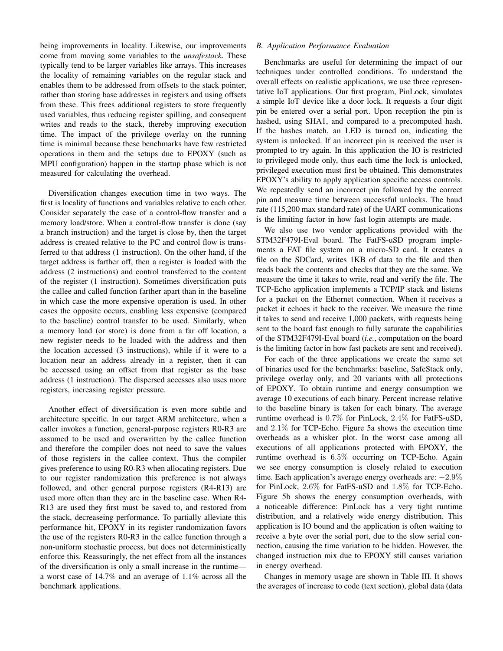being improvements in locality. Likewise, our improvements come from moving some variables to the *unsafestack*. These typically tend to be larger variables like arrays. This increases the locality of remaining variables on the regular stack and enables them to be addressed from offsets to the stack pointer, rather than storing base addresses in registers and using offsets from these. This frees additional registers to store frequently used variables, thus reducing register spilling, and consequent writes and reads to the stack, thereby improving execution time. The impact of the privilege overlay on the running time is minimal because these benchmarks have few restricted operations in them and the setups due to EPOXY (such as MPU configuration) happen in the startup phase which is not measured for calculating the overhead.

Diversification changes execution time in two ways. The first is locality of functions and variables relative to each other. Consider separately the case of a control-flow transfer and a memory load/store. When a control-flow transfer is done (say a branch instruction) and the target is close by, then the target address is created relative to the PC and control flow is transferred to that address (1 instruction). On the other hand, if the target address is farther off, then a register is loaded with the address (2 instructions) and control transferred to the content of the register (1 instruction). Sometimes diversification puts the callee and called function farther apart than in the baseline in which case the more expensive operation is used. In other cases the opposite occurs, enabling less expensive (compared to the baseline) control transfer to be used. Similarly, when a memory load (or store) is done from a far off location, a new register needs to be loaded with the address and then the location accessed (3 instructions), while if it were to a location near an address already in a register, then it can be accessed using an offset from that register as the base address (1 instruction). The dispersed accesses also uses more registers, increasing register pressure.

Another effect of diversification is even more subtle and architecture specific. In our target ARM architecture, when a caller invokes a function, general-purpose registers R0-R3 are assumed to be used and overwritten by the callee function and therefore the compiler does not need to save the values of those registers in the callee context. Thus the compiler gives preference to using R0-R3 when allocating registers. Due to our register randomization this preference is not always followed, and other general purpose registers (R4-R13) are used more often than they are in the baseline case. When R4- R13 are used they first must be saved to, and restored from the stack, decreaseing performance. To partially alleviate this performance hit, EPOXY in its register randomization favors the use of the registers R0-R3 in the callee function through a non-uniform stochastic process, but does not deterministically enforce this. Reassuringly, the net effect from all the instances of the diversification is only a small increase in the runtime a worst case of 14.7% and an average of 1.1% across all the benchmark applications.

# *B. Application Performance Evaluation*

Benchmarks are useful for determining the impact of our techniques under controlled conditions. To understand the overall effects on realistic applications, we use three representative IoT applications. Our first program, PinLock, simulates a simple IoT device like a door lock. It requests a four digit pin be entered over a serial port. Upon reception the pin is hashed, using SHA1, and compared to a precomputed hash. If the hashes match, an LED is turned on, indicating the system is unlocked. If an incorrect pin is received the user is prompted to try again. In this application the IO is restricted to privileged mode only, thus each time the lock is unlocked, privileged execution must first be obtained. This demonstrates EPOXY's ability to apply application specific access controls. We repeatedly send an incorrect pin followed by the correct pin and measure time between successful unlocks. The baud rate (115,200 max standard rate) of the UART communications is the limiting factor in how fast login attempts are made.

We also use two vendor applications provided with the STM32F479I-Eval board. The FatFS-uSD program implements a FAT file system on a micro-SD card. It creates a file on the SDCard, writes 1KB of data to the file and then reads back the contents and checks that they are the same. We measure the time it takes to write, read and verify the file. The TCP-Echo application implements a TCP/IP stack and listens for a packet on the Ethernet connection. When it receives a packet it echoes it back to the receiver. We measure the time it takes to send and receive 1,000 packets, with requests being sent to the board fast enough to fully saturate the capabilities of the STM32F479I-Eval board (*i.e.*, computation on the board is the limiting factor in how fast packets are sent and received).

For each of the three applications we create the same set of binaries used for the benchmarks: baseline, SafeStack only, privilege overlay only, and 20 variants with all protections of EPOXY. To obtain runtime and energy consumption we average 10 executions of each binary. Percent increase relative to the baseline binary is taken for each binary. The average runtime overhead is 0.7% for PinLock, 2.4% for FatFS-uSD, and 2.1% for TCP-Echo. Figure 5a shows the execution time overheads as a whisker plot. In the worst case among all executions of all applications protected with EPOXY, the runtime overhead is 6.5% occurring on TCP-Echo. Again we see energy consumption is closely related to execution time. Each application's average energy overheads are: −2.9% for PinLock, 2.6% for FatFS-uSD and 1.8% for TCP-Echo. Figure 5b shows the energy consumption overheads, with a noticeable difference: PinLock has a very tight runtime distribution, and a relatively wide energy distribution. This application is IO bound and the application is often waiting to receive a byte over the serial port, due to the slow serial connection, causing the time variation to be hidden. However, the changed instruction mix due to EPOXY still causes variation in energy overhead.

Changes in memory usage are shown in Table III. It shows the averages of increase to code (text section), global data (data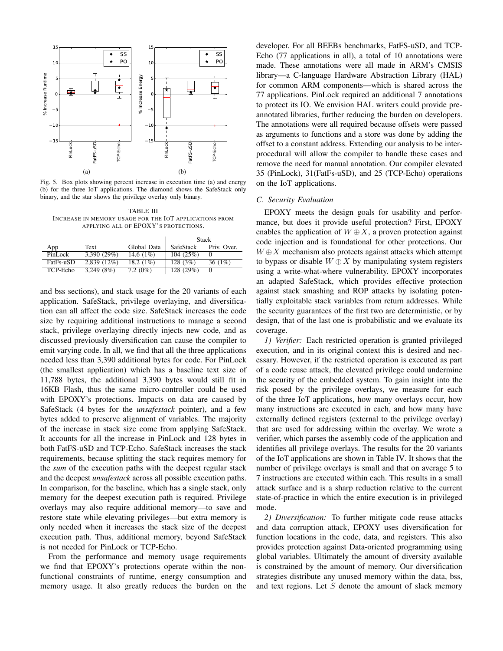

Fig. 5. Box plots showing percent increase in execution time (a) and energy (b) for the three IoT applications. The diamond shows the SafeStack only binary, and the star shows the privilege overlay only binary.

TABLE III INCREASE IN MEMORY USAGE FOR THE IOT APPLICATIONS FROM APPLYING ALL OF EPOXY'S PROTECTIONS.

|           |               |              | <b>Stack</b> |             |  |
|-----------|---------------|--------------|--------------|-------------|--|
| App       | Text          | Global Data  | SafeStack    | Priv. Over. |  |
| PinLock   | 3,390(29%)    | 14.6 $(1\%)$ | 104(25%)     |             |  |
| FatFs-uSD | $2.839(12\%)$ | 18.2 $(1\%)$ | 128(3%)      | 36 $(1%)$   |  |
| TCP-Echo  | 3,249(8%)     | 7.2 $(0\%)$  | 128 (29%)    |             |  |

and bss sections), and stack usage for the 20 variants of each application. SafeStack, privilege overlaying, and diversification can all affect the code size. SafeStack increases the code size by requiring additional instructions to manage a second stack, privilege overlaying directly injects new code, and as discussed previously diversification can cause the compiler to emit varying code. In all, we find that all the three applications needed less than 3,390 additional bytes for code. For PinLock (the smallest application) which has a baseline text size of 11,788 bytes, the additional 3,390 bytes would still fit in 16KB Flash, thus the same micro-controller could be used with EPOXY's protections. Impacts on data are caused by SafeStack (4 bytes for the *unsafestack* pointer), and a few bytes added to preserve alignment of variables. The majority of the increase in stack size come from applying SafeStack. It accounts for all the increase in PinLock and 128 bytes in both FatFS-uSD and TCP-Echo. SafeStack increases the stack requirements, because splitting the stack requires memory for the *sum* of the execution paths with the deepest regular stack and the deepest *unsafestack* across all possible execution paths. In comparison, for the baseline, which has a single stack, only memory for the deepest execution path is required. Privilege overlays may also require additional memory—to save and restore state while elevating privileges—but extra memory is only needed when it increases the stack size of the deepest execution path. Thus, additional memory, beyond SafeStack is not needed for PinLock or TCP-Echo.

From the performance and memory usage requirements we find that EPOXY's protections operate within the nonfunctional constraints of runtime, energy consumption and memory usage. It also greatly reduces the burden on the

developer. For all BEEBs benchmarks, FatFS-uSD, and TCP-Echo (77 applications in all), a total of 10 annotations were made. These annotations were all made in ARM's CMSIS library—a C-language Hardware Abstraction Library (HAL) for common ARM components—which is shared across the 77 applications. PinLock required an additional 7 annotations to protect its IO. We envision HAL writers could provide preannotated libraries, further reducing the burden on developers. The annotations were all required because offsets were passed as arguments to functions and a store was done by adding the offset to a constant address. Extending our analysis to be interprocedural will allow the compiler to handle these cases and remove the need for manual annotation. Our compiler elevated 35 (PinLock), 31(FatFs-uSD), and 25 (TCP-Echo) operations on the IoT applications.

## *C. Security Evaluation*

EPOXY meets the design goals for usability and performance, but does it provide useful protection? First, EPOXY enables the application of  $W \oplus X$ , a proven protection against code injection and is foundational for other protections. Our  $W \oplus X$  mechanism also protects against attacks which attempt to bypass or disable  $W \oplus X$  by manipulating system registers using a write-what-where vulnerability. EPOXY incorporates an adapted SafeStack, which provides effective protection against stack smashing and ROP attacks by isolating potentially exploitable stack variables from return addresses. While the security guarantees of the first two are deterministic, or by design, that of the last one is probabilistic and we evaluate its coverage.

*1) Verifier:* Each restricted operation is granted privileged execution, and in its original context this is desired and necessary. However, if the restricted operation is executed as part of a code reuse attack, the elevated privilege could undermine the security of the embedded system. To gain insight into the risk posed by the privilege overlays, we measure for each of the three IoT applications, how many overlays occur, how many instructions are executed in each, and how many have externally defined registers (external to the privilege overlay) that are used for addressing within the overlay. We wrote a verifier, which parses the assembly code of the application and identifies all privilege overlays. The results for the 20 variants of the IoT applications are shown in Table IV. It shows that the number of privilege overlays is small and that on average 5 to 7 instructions are executed within each. This results in a small attack surface and is a sharp reduction relative to the current state-of-practice in which the entire execution is in privileged mode.

*2) Diversification:* To further mitigate code reuse attacks and data corruption attack, EPOXY uses diversification for function locations in the code, data, and registers. This also provides protection against Data-oriented programming using global variables. Ultimately the amount of diversity available is constrained by the amount of memory. Our diversification strategies distribute any unused memory within the data, bss, and text regions. Let  $S$  denote the amount of slack memory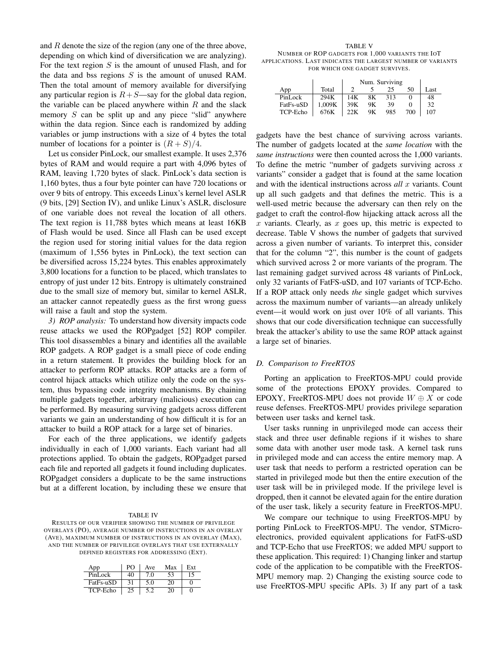and R denote the size of the region (any one of the three above, depending on which kind of diversification we are analyzing). For the text region  $S$  is the amount of unused Flash, and for the data and bss regions  $S$  is the amount of unused RAM. Then the total amount of memory available for diversifying any particular region is  $R+S$ —say for the global data region, the variable can be placed anywhere within  $R$  and the slack memory  $S$  can be split up and any piece "slid" anywhere within the data region. Since each is randomized by adding variables or jump instructions with a size of 4 bytes the total number of locations for a pointer is  $(R + S)/4$ .

Let us consider PinLock, our smallest example. It uses 2,376 bytes of RAM and would require a part with 4,096 bytes of RAM, leaving 1,720 bytes of slack. PinLock's data section is 1,160 bytes, thus a four byte pointer can have 720 locations or over 9 bits of entropy. This exceeds Linux's kernel level ASLR (9 bits, [29] Section IV), and unlike Linux's ASLR, disclosure of one variable does not reveal the location of all others. The text region is 11,788 bytes which means at least 16KB of Flash would be used. Since all Flash can be used except the region used for storing initial values for the data region (maximum of 1,556 bytes in PinLock), the text section can be diversified across 15,224 bytes. This enables approximately 3,800 locations for a function to be placed, which translates to entropy of just under 12 bits. Entropy is ultimately constrained due to the small size of memory but, similar to kernel ASLR, an attacker cannot repeatedly guess as the first wrong guess will raise a fault and stop the system.

*3) ROP analysis:* To understand how diversity impacts code reuse attacks we used the ROPgadget [52] ROP compiler. This tool disassembles a binary and identifies all the available ROP gadgets. A ROP gadget is a small piece of code ending in a return statement. It provides the building block for an attacker to perform ROP attacks. ROP attacks are a form of control hijack attacks which utilize only the code on the system, thus bypassing code integrity mechanisms. By chaining multiple gadgets together, arbitrary (malicious) execution can be performed. By measuring surviving gadgets across different variants we gain an understanding of how difficult it is for an attacker to build a ROP attack for a large set of binaries.

For each of the three applications, we identify gadgets individually in each of 1,000 variants. Each variant had all protections applied. To obtain the gadgets, ROPgadget parsed each file and reported all gadgets it found including duplicates. ROPgadget considers a duplicate to be the same instructions but at a different location, by including these we ensure that

#### TABLE IV

RESULTS OF OUR VERIFIER SHOWING THE NUMBER OF PRIVILEGE OVERLAYS (PO), AVERAGE NUMBER OF INSTRUCTIONS IN AN OVERLAY (AVE), MAXIMUM NUMBER OF INSTRUCTIONS IN AN OVERLAY (MAX), AND THE NUMBER OF PRIVILEGE OVERLAYS THAT USE EXTERNALLY DEFINED REGISTERS FOR ADDRESSING (EXT).

| App       | PO. | Ave | Max | Ext |
|-----------|-----|-----|-----|-----|
| PinLock   | 40  | 70  | 53  | . 5 |
| FatFs-uSD | 31  | 5.0 | 20  |     |
| TCP-Echo  |     |     | ነበ  |     |

TABLE V NUMBER OF ROP GADGETS FOR 1,000 VARIANTS THE IOT APPLICATIONS. LAST INDICATES THE LARGEST NUMBER OF VARIANTS FOR WHICH ONE GADGET SURVIVES.

|           |        | Num. Surviving |    |     |     |      |
|-----------|--------|----------------|----|-----|-----|------|
| App       | Total  |                |    | 25  | 50  | Last |
| PinLock   | 294K   | 14K            | 8Κ | 313 |     | 48   |
| FatFs-uSD | 1.009K | 39K            | 9Κ | 39  |     | 32   |
| TCP-Echo  | 676K   | 22K            | 9Κ | 985 | 700 | 107  |

gadgets have the best chance of surviving across variants. The number of gadgets located at the *same location* with the *same instructions* were then counted across the 1,000 variants. To define the metric "number of gadgets surviving across *x* variants" consider a gadget that is found at the same location and with the identical instructions across *all* x variants. Count up all such gadgets and that defines the metric. This is a well-used metric because the adversary can then rely on the gadget to craft the control-flow hijacking attack across all the x variants. Clearly, as x goes up, this metric is expected to decrease. Table V shows the number of gadgets that survived across a given number of variants. To interpret this, consider that for the column "2", this number is the count of gadgets which survived across 2 or more variants of the program. The last remaining gadget survived across 48 variants of PinLock, only 32 variants of FatFS-uSD, and 107 variants of TCP-Echo. If a ROP attack only needs *the* single gadget which survives across the maximum number of variants—an already unlikely event—it would work on just over 10% of all variants. This shows that our code diversification technique can successfully break the attacker's ability to use the same ROP attack against a large set of binaries.

#### *D. Comparison to FreeRTOS*

Porting an application to FreeRTOS-MPU could provide some of the protections EPOXY provides. Compared to EPOXY, FreeRTOS-MPU does not provide  $W \oplus X$  or code reuse defenses. FreeRTOS-MPU provides privilege separation between user tasks and kernel task.

User tasks running in unprivileged mode can access their stack and three user definable regions if it wishes to share some data with another user mode task. A kernel task runs in privileged mode and can access the entire memory map. A user task that needs to perform a restricted operation can be started in privileged mode but then the entire execution of the user task will be in privileged mode. If the privilege level is dropped, then it cannot be elevated again for the entire duration of the user task, likely a security feature in FreeRTOS-MPU.

We compare our technique to using FreeRTOS-MPU by porting PinLock to FreeRTOS-MPU. The vendor, STMicroelectronics, provided equivalent applications for FatFS-uSD and TCP-Echo that use FreeRTOS; we added MPU support to these application. This required: 1) Changing linker and startup code of the application to be compatible with the FreeRTOS-MPU memory map. 2) Changing the existing source code to use FreeRTOS-MPU specific APIs. 3) If any part of a task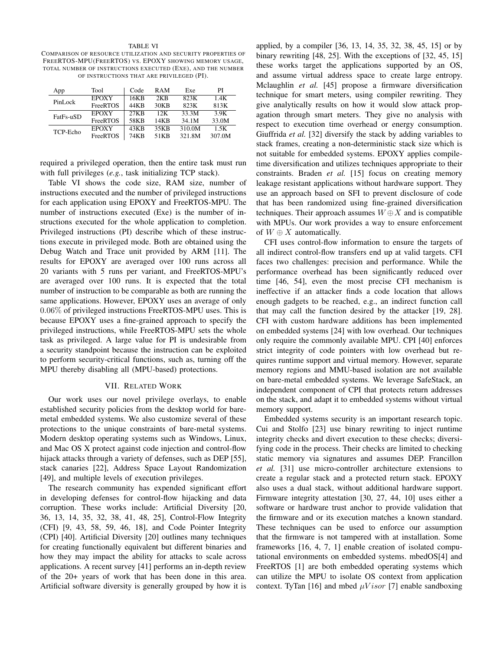#### TABLE VI

COMPARISON OF RESOURCE UTILIZATION AND SECURITY PROPERTIES OF FREERTOS-MPU(FREERTOS) VS. EPOXY SHOWING MEMORY USAGE, TOTAL NUMBER OF INSTRUCTIONS EXECUTED (EXE), AND THE NUMBER OF INSTRUCTIONS THAT ARE PRIVILEGED (PI).

| App       | Tool            | Code  | <b>RAM</b>        | Exe    | PI     |
|-----------|-----------------|-------|-------------------|--------|--------|
| PinLock   | <b>EPOXY</b>    | 16KB  | 2KR               | 823K   | 1.4K   |
|           | <b>FreeRTOS</b> | 44KB  | 30 <sub>K</sub> R | 823K   | 813K   |
| FatFs-uSD | <b>EPOXY</b>    | 27KR  | 12K               | 33.3M  | 3.9K   |
|           | <b>FreeRTOS</b> | 58KB  | 14KR              | 34.1M  | 33.0M  |
| TCP-Echo  | <b>EPOXY</b>    | 43KB  | 35KB              | 310.0M | 1.5K   |
|           | FreeRTOS        | 74K B | 51KB              | 321.8M | 307.0M |

required a privileged operation, then the entire task must run with full privileges (*e.g.*, task initializing TCP stack).

Table VI shows the code size, RAM size, number of instructions executed and the number of privileged instructions for each application using EPOXY and FreeRTOS-MPU. The number of instructions executed (Exe) is the number of instructions executed for the whole application to completion. Privileged instructions (PI) describe which of these instructions execute in privileged mode. Both are obtained using the Debug Watch and Trace unit provided by ARM [11]. The results for EPOXY are averaged over 100 runs across all 20 variants with 5 runs per variant, and FreeRTOS-MPU's are averaged over 100 runs. It is expected that the total number of instruction to be comparable as both are running the same applications. However, EPOXY uses an average of only 0.06% of privileged instructions FreeRTOS-MPU uses. This is because EPOXY uses a fine-grained approach to specify the privileged instructions, while FreeRTOS-MPU sets the whole task as privileged. A large value for PI is undesirable from a security standpoint because the instruction can be exploited to perform security-critical functions, such as, turning off the MPU thereby disabling all (MPU-based) protections.

## VII. RELATED WORK

Our work uses our novel privilege overlays, to enable established security policies from the desktop world for baremetal embedded systems. We also customize several of these protections to the unique constraints of bare-metal systems. Modern desktop operating systems such as Windows, Linux, and Mac OS X protect against code injection and control-flow hijack attacks through a variety of defenses, such as DEP [55], stack canaries [22], Address Space Layout Randomization [49], and multiple levels of execution privileges.

The research community has expended significant effort in developing defenses for control-flow hijacking and data corruption. These works include: Artificial Diversity [20, 36, 13, 14, 35, 32, 38, 41, 48, 25], Control-Flow Integrity (CFI) [9, 43, 58, 59, 46, 18], and Code Pointer Integrity (CPI) [40]. Artificial Diversity [20] outlines many techniques for creating functionally equivalent but different binaries and how they may impact the ability for attacks to scale across applications. A recent survey [41] performs an in-depth review of the 20+ years of work that has been done in this area. Artificial software diversity is generally grouped by how it is

applied, by a compiler [36, 13, 14, 35, 32, 38, 45, 15] or by binary rewriting [48, 25]. With the exceptions of [32, 45, 15] these works target the applications supported by an OS, and assume virtual address space to create large entropy. Mclaughlin *et al.* [45] propose a firmware diversification technique for smart meters, using compiler rewriting. They give analytically results on how it would slow attack propagation through smart meters. They give no analysis with respect to execution time overhead or energy consumption. Giuffrida *et al.* [32] diversify the stack by adding variables to stack frames, creating a non-deterministic stack size which is not suitable for embedded systems. EPOXY applies compiletime diversification and utilizes techniques appropriate to their constraints. Braden *et al.* [15] focus on creating memory leakage resistant applications without hardware support. They use an approach based on SFI to prevent disclosure of code that has been randomized using fine-grained diversification techniques. Their approach assumes  $W \oplus X$  and is compatible with MPUs. Our work provides a way to ensure enforcement of  $W \oplus X$  automatically.

CFI uses control-flow information to ensure the targets of all indirect control-flow transfers end up at valid targets. CFI faces two challenges: precision and performance. While the performance overhead has been significantly reduced over time [46, 54], even the most precise CFI mechanism is ineffective if an attacker finds a code location that allows enough gadgets to be reached, e.g., an indirect function call that may call the function desired by the attacker [19, 28]. CFI with custom hardware additions has been implemented on embedded systems [24] with low overhead. Our techniques only require the commonly available MPU. CPI [40] enforces strict integrity of code pointers with low overhead but requires runtime support and virtual memory. However, separate memory regions and MMU-based isolation are not available on bare-metal embedded systems. We leverage SafeStack, an independent component of CPI that protects return addresses on the stack, and adapt it to embedded systems without virtual memory support.

Embedded systems security is an important research topic. Cui and Stolfo [23] use binary rewriting to inject runtime integrity checks and divert execution to these checks; diversifying code in the process. Their checks are limited to checking static memory via signatures and assumes DEP. Francillon *et al.* [31] use micro-controller architecture extensions to create a regular stack and a protected return stack. EPOXY also uses a dual stack, without additional hardware support. Firmware integrity attestation [30, 27, 44, 10] uses either a software or hardware trust anchor to provide validation that the firmware and or its execution matches a known standard. These techniques can be used to enforce our assumption that the firmware is not tampered with at installation. Some frameworks [16, 4, 7, 1] enable creation of isolated computational environments on embedded systems. mbedOS[4] and FreeRTOS [1] are both embedded operating systems which can utilize the MPU to isolate OS context from application context. TyTan [16] and mbed  $\mu Visor$  [7] enable sandboxing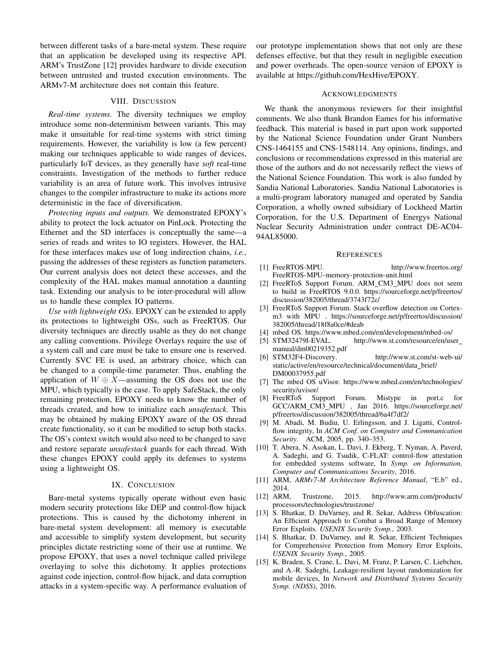between different tasks of a bare-metal system. These require that an application be developed using its respective API. ARM's TrustZone [12] provides hardware to divide execution between untrusted and trusted execution environments. The ARMv7-M architecture does not contain this feature.

# VIII. DISCUSSION

*Real-time systems.* The diversity techniques we employ introduce some non-determinism between variants. This may make it unsuitable for real-time systems with strict timing requirements. However, the variability is low (a few percent) making our techniques applicable to wide ranges of devices, particularly IoT devices, as they generally have *soft* real-time constraints. Investigation of the methods to further reduce variability is an area of future work. This involves intrusive changes to the compiler infrastructure to make its actions more deterministic in the face of diversification.

*Protecting inputs and outputs.* We demonstrated EPOXY's ability to protect the lock actuator on PinLock. Protecting the Ethernet and the SD interfaces is conceptually the same– series of reads and writes to IO registers. However, the HAL for these interfaces makes use of long indirection chains, *i.e.*, passing the addresses of these registers as function parameters. Our current analysis does not detect these accesses, and the complexity of the HAL makes manual annotation a daunting task. Extending our analysis to be inter-procedural will allow us to handle these complex IO patterns.

*Use with lightweight OSs.* EPOXY can be extended to apply its protections to lightweight OSs, such as FreeRTOS. Our diversity techniques are directly usable as they do not change any calling conventions. Privilege Overlays require the use of a system call and care must be take to ensure one is reserved. Currently SVC FE is used, an arbitrary choice, which can be changed to a compile-time parameter. Thus, enabling the application of  $W \oplus X$ —assuming the OS does not use the MPU, which typically is the case. To apply SafeStack, the only remaining protection, EPOXY needs to know the number of threads created, and how to initialize each *unsafestack*. This may be obtained by making EPOXY aware of the OS thread create functionality, so it can be modified to setup both stacks. The OS's context switch would also need to be changed to save and restore separate *unsafestack* guards for each thread. With these changes EPOXY could apply its defenses to systems using a lightweight OS.

#### IX. CONCLUSION

Bare-metal systems typically operate without even basic modern security protections like DEP and control-flow hijack protections. This is caused by the dichotomy inherent in bare-metal system development: all memory is executable and accessible to simplify system development, but security principles dictate restricting some of their use at runtime. We propose EPOXY, that uses a novel technique called privilege overlaying to solve this dichotomy. It applies protections against code injection, control-flow hijack, and data corruption attacks in a system-specific way. A performance evaluation of our prototype implementation shows that not only are these defenses effective, but that they result in negligible execution and power overheads. The open-source version of EPOXY is available at https://github.com/HexHive/EPOXY.

#### ACKNOWLEDGMENTS

We thank the anonymous reviewers for their insightful comments. We also thank Brandon Eames for his informative feedback. This material is based in part upon work supported by the National Science Foundation under Grant Numbers CNS-1464155 and CNS-1548114. Any opinions, findings, and conclusions or recommendations expressed in this material are those of the authors and do not necessarily reflect the views of the National Science Foundation. This work is also funded by Sandia National Laboratories. Sandia National Laboratories is a multi-program laboratory managed and operated by Sandia Corporation, a wholly owned subsidiary of Lockheed Martin Corporation, for the U.S. Department of Energys National Nuclear Security Administration under contract DE-AC04- 94AL85000.

#### **REFERENCES**

- [1] FreeRTOS-MPU. http://www.freertos.org/ FreeRTOS-MPU-memory-protection-unit.html
- [2] FreeRToS Support Forum. ARM\_CM3\_MPU does not seem to build in FreeRTOS 9.0.0. https://sourceforge.net/p/freertos/ discussion/382005/thread/3743f72c/
- [3] FreeRToS Support Forum. Stack overflow detection on Cortexm3 with MPU . https://sourceforge.net/p/freertos/discussion/ 382005/thread/18f8a0ce/#deab
- [4] mbed OS. https://www.mbed.com/en/development/mbed-os/
- [5] STM32479I-EVAL. http://www.st.com/resource/en/user manual/dm00219352.pdf
- [6] STM32F4-Discovery. http://www.st.com/st-web-ui/ static/active/en/resource/technical/document/data\_brief/ DM00037955.pdf
- [7] The mbed OS uVisor. https://www.mbed.com/en/technologies/ security/uvisor/
- [8] FreeRToS Support Forum. Mistype in port.c for GCC/ARM CM3 MPU , Jan 2016. https://sourceforge.net/ p/freertos/discussion/382005/thread/6a4f7df2/
- [9] M. Abadi, M. Budiu, U. Erlingsson, and J. Ligatti, Controlflow integrity, In *ACM Conf. on Computer and Communication Security*. ACM, 2005, pp. 340–353.
- [10] T. Abera, N. Asokan, L. Davi, J. Ekberg, T. Nyman, A. Paverd, A. Sadeghi, and G. Tsudik, C-FLAT: control-flow attestation for embedded systems software, In *Symp. on Information, Computer and Communications Security*, 2016.
- [11] ARM, *ARMv7-M Architecture Reference Manual*, "E.b" ed., 2014.
- [12] ARM, Trustzone, 2015. http://www.arm.com/products/ processors/technologies/trustzone/
- [13] S. Bhatkar, D. DuVarney, and R. Sekar, Address Obfuscation: An Efficient Approach to Combat a Broad Range of Memory Error Exploits. *USENIX Security Symp.*, 2003.
- [14] S. Bhatkar, D. DuVarney, and R. Sekar, Efficient Techniques for Comprehensive Protection from Memory Error Exploits, *USENIX Security Symp.*, 2005.
- [15] K. Braden, S. Crane, L. Davi, M. Franz, P. Larsen, C. Liebchen, and A.-R. Sadeghi, Leakage-resilient layout randomization for mobile devices, In *Network and Distributed Systems Security Symp. (NDSS)*, 2016.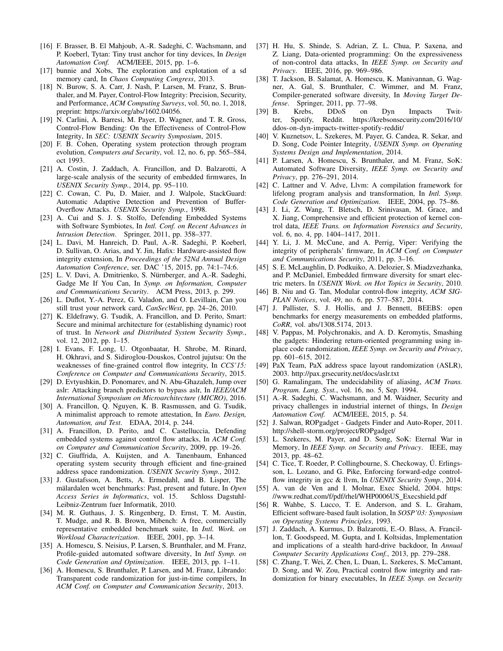- [16] F. Brasser, B. El Mahjoub, A.-R. Sadeghi, C. Wachsmann, and P. Koeberl, Tytan: Tiny trust anchor for tiny devices, In *Design Automation Conf.* ACM/IEEE, 2015, pp. 1–6.
- [17] bunnie and Xobs, The exploration and explotation of a sd memory card, In *Chaos Computing Congress*, 2013.
- [18] N. Burow, S. A. Carr, J. Nash, P. Larsen, M. Franz, S. Brunthaler, and M. Payer, Control-Flow Integrity: Precision, Security, and Performance, *ACM Computing Surveys*, vol. 50, no. 1, 2018, preprint: https://arxiv.org/abs/1602.04056.
- [19] N. Carlini, A. Barresi, M. Payer, D. Wagner, and T. R. Gross, Control-Flow Bending: On the Effectiveness of Control-Flow Integrity, In *SEC: USENIX Security Symposium*, 2015.
- [20] F. B. Cohen, Operating system protection through program evolution, *Computers and Security*, vol. 12, no. 6, pp. 565–584, oct 1993.
- [21] A. Costin, J. Zaddach, A. Francillon, and D. Balzarotti, A large-scale analysis of the security of embedded firmwares, In *USENIX Security Symp.*, 2014, pp. 95–110.
- [22] C. Cowan, C. Pu, D. Maier, and J. Walpole, StackGuard: Automatic Adaptive Detection and Prevention of Buffer-Overflow Attacks. *USENIX Security Symp.*, 1998.
- [23] A. Cui and S. J. S. Stolfo, Defending Embedded Systems with Software Symbiotes, In *Intl. Conf. on Recent Advances in Intrusion Detection*. Springer, 2011, pp. 358–377.
- [24] L. Davi, M. Hanreich, D. Paul, A.-R. Sadeghi, P. Koeberl, D. Sullivan, O. Arias, and Y. Jin, Hafix: Hardware-assisted flow integrity extension, In *Proceedings of the 52Nd Annual Design Automation Conference*, ser. DAC '15, 2015, pp. 74:1–74:6.
- [25] L. V. Davi, A. Dmitrienko, S. Nürnberger, and A.-R. Sadeghi, Gadge Me If You Can, In *Symp. on Information, Computer and Communications Security*. ACM Press, 2013, p. 299.
- [26] L. Duflot, Y.-A. Perez, G. Valadon, and O. Levillain, Can you still trust your network card, *CanSecWest*, pp. 24–26, 2010.
- [27] K. Eldefrawy, G. Tsudik, A. Francillon, and D. Perito, Smart: Secure and minimal architecture for (establishing dynamic) root of trust. In *Network and Distributed System Security Symp.*, vol. 12, 2012, pp. 1–15.
- [28] I. Evans, F. Long, U. Otgonbaatar, H. Shrobe, M. Rinard, H. Okhravi, and S. Sidiroglou-Douskos, Control jujutsu: On the weaknesses of fine-grained control flow integrity, In *CCS'15: Conference on Computer and Communications Security*, 2015.
- [29] D. Evtyushkin, D. Ponomarev, and N. Abu-Ghazaleh, Jump over aslr: Attacking branch predictors to bypass aslr, In *IEEE/ACM International Symposium on Microarchitecture (MICRO)*, 2016.
- [30] A. Francillon, Q. Nguyen, K. B. Rasmussen, and G. Tsudik, A minimalist approach to remote attestation, In *Euro. Design, Automation, and Test*. EDAA, 2014, p. 244.
- [31] A. Francillon, D. Perito, and C. Castelluccia, Defending embedded systems against control flow attacks, In *ACM Conf. on Computer and Communication Security*, 2009, pp. 19–26.
- [32] C. Giuffrida, A. Kuijsten, and A. Tanenbaum, Enhanced operating system security through efficient and fine-grained address space randomization. *USENIX Security Symp.*, 2012.
- [33] J. Gustafsson, A. Betts, A. Ermedahl, and B. Lisper, The mälardalen wcet benchmarks: Past, present and future, In Open *Access Series in Informatics*, vol. 15. Schloss Dagstuhl-Leibniz-Zentrum fuer Informatik, 2010.
- [34] M. R. Guthaus, J. S. Ringenberg, D. Ernst, T. M. Austin, T. Mudge, and R. B. Brown, Mibench: A free, commercially representative embedded benchmark suite, In *Intl. Work. on Workload Characterization*. IEEE, 2001, pp. 3–14.
- [35] A. Homescu, S. Neisius, P. Larsen, S. Brunthaler, and M. Franz, Profile-guided automated software diversity, In *Intl Symp. on Code Generation and Optimization*. IEEE, 2013, pp. 1–11.
- [36] A. Homescu, S. Brunthaler, P. Larsen, and M. Franz, Librando: Transparent code randomization for just-in-time compilers, In *ACM Conf. on Computer and Communication Security*, 2013.
- [37] H. Hu, S. Shinde, S. Adrian, Z. L. Chua, P. Saxena, and Z. Liang, Data-oriented programming: On the expressiveness of non-control data attacks, In *IEEE Symp. on Security and Privacy*. IEEE, 2016, pp. 969–986.
- [38] T. Jackson, B. Salamat, A. Homescu, K. Manivannan, G. Wagner, A. Gal, S. Brunthaler, C. Wimmer, and M. Franz, Compiler-generated software diversity, In *Moving Target Defense*. Springer, 2011, pp. 77–98.
- [39] B. Krebs, DDoS on Dyn Impacts Twitter, Spotify, Reddit. https://krebsonsecurity.com/2016/10/ ddos-on-dyn-impacts-twitter-spotify-reddit/
- [40] V. Kuznetsov, L. Szekeres, M. Payer, G. Candea, R. Sekar, and D. Song, Code Pointer Integrity, *USENIX Symp. on Operating Systems Design and Implementation*, 2014.
- [41] P. Larsen, A. Homescu, S. Brunthaler, and M. Franz, SoK: Automated Software Diversity, *IEEE Symp. on Security and Privacy*, pp. 276–291, 2014.
- [42] C. Lattner and V. Adve, Llvm: A compilation framework for lifelong program analysis and transformation, In *Intl. Symp. Code Generation and Optimization*. IEEE, 2004, pp. 75–86.
- [43] J. Li, Z. Wang, T. Bletsch, D. Srinivasan, M. Grace, and X. Jiang, Comprehensive and efficient protection of kernel control data, *IEEE Trans. on Information Forensics and Security*, vol. 6, no. 4, pp. 1404–1417, 2011.
- [44] Y. Li, J. M. McCune, and A. Perrig, Viper: Verifying the integrity of peripherals' firmware, In *ACM Conf. on Computer and Communications Security*, 2011, pp. 3–16.
- [45] S. E. McLaughlin, D. Podkuiko, A. Delozier, S. Miadzvezhanka, and P. McDaniel, Embedded firmware diversity for smart electric meters. In *USENIX Work. on Hot Topics in Security*, 2010.
- [46] B. Niu and G. Tan, Modular control-flow integrity, *ACM SIG-PLAN Notices*, vol. 49, no. 6, pp. 577–587, 2014.
- [47] J. Pallister, S. J. Hollis, and J. Bennett, BEEBS: open benchmarks for energy measurements on embedded platforms, *CoRR*, vol. abs/1308.5174, 2013.
- [48] V. Pappas, M. Polychronakis, and A. D. Keromytis, Smashing the gadgets: Hindering return-oriented programming using inplace code randomization, *IEEE Symp. on Security and Privacy*, pp. 601–615, 2012.
- [49] PaX Team, PaX address space layout randomization (ASLR), 2003. http://pax.grsecurity.net/docs/aslr.txt
- [50] G. Ramalingam, The undecidability of aliasing, *ACM Trans. Program. Lang. Syst.*, vol. 16, no. 5, Sep. 1994.
- [51] A.-R. Sadeghi, C. Wachsmann, and M. Waidner, Security and privacy challenges in industrial internet of things, In *Design Automation Conf.* ACM/IEEE, 2015, p. 54.
- [52] J. Salwan, ROPgadget Gadgets Finder and Auto-Roper, 2011. http://shell-storm.org/project/ROPgadget/
- [53] L. Szekeres, M. Payer, and D. Song, SoK: Eternal War in Memory, In *IEEE Symp. on Security and Privacy*. IEEE, may 2013, pp. 48–62.
- [54] C. Tice, T. Roeder, P. Collingbourne, S. Checkoway, U. Erlingsson, L. Lozano, and G. Pike, Enforcing forward-edge controlflow integrity in gcc & llvm, In *USENIX Security Symp.*, 2014.
- [55] A. van de Ven and I. Molnar, Exec Shield, 2004. https: //www.redhat.com/f/pdf/rhel/WHP0006US Execshield.pdf
- [56] R. Wahbe, S. Lucco, T. E. Anderson, and S. L. Graham, Efficient software-based fault isolation, In *SOSP'03: Symposium on Operating Systems Principles*, 1993.
- [57] J. Zaddach, A. Kurmus, D. Balzarotti, E.-O. Blass, A. Francillon, T. Goodspeed, M. Gupta, and I. Koltsidas, Implementation and implications of a stealth hard-drive backdoor, In *Annual Computer Security Applications Conf.*, 2013, pp. 279–288.
- [58] C. Zhang, T. Wei, Z. Chen, L. Duan, L. Szekeres, S. McCamant, D. Song, and W. Zou, Practical control flow integrity and randomization for binary executables, In *IEEE Symp. on Security*